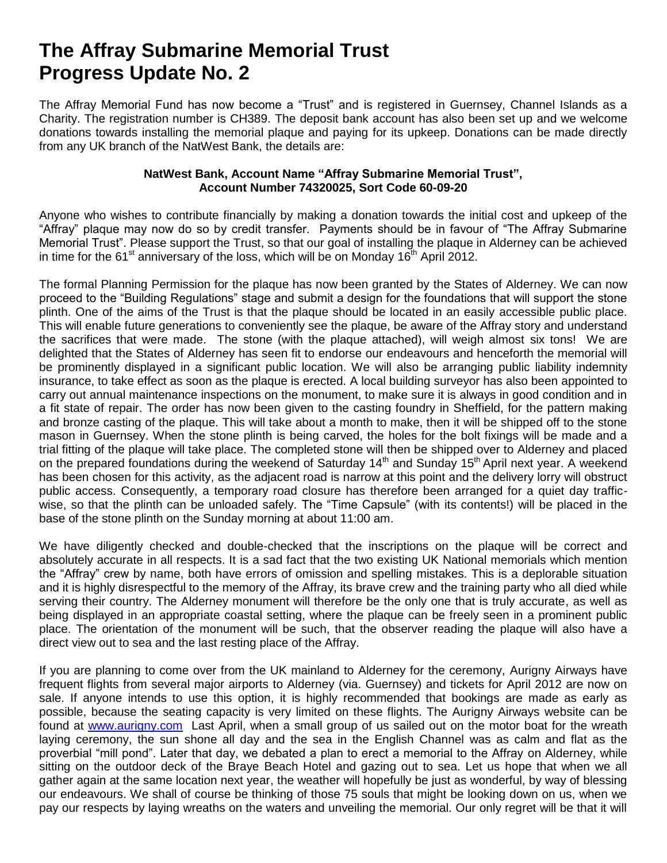## **The Affray Submarine Memorial Trust Progress Update No. 2**

The Affray Memorial Fund has now become a "Trust" and is registered in Guernsey, Channel Islands as a Charity. The registration number is CH389. The deposit bank account has also been set up and we welcome donations towards installing the memorial plaque and paying for its upkeep. Donations can be made directly from any UK branch of the NatWest Bank, the details are:

## **NatWest Bank, Account Name "Affray Submarine Memorial Trust", Account Number 74320025, Sort Code 60-09-20**

Anyone who wishes to contribute financially by making a donation towards the initial cost and upkeep of the "Affray" plaque may now do so by credit transfer. Payments should be in favour of "The Affray Submarine Memorial Trust". Please support the Trust, so that our goal of installing the plaque in Alderney can be achieved in time for the 61<sup>st</sup> anniversary of the loss, which will be on Monday 16<sup>th</sup> April 2012.

The formal Planning Permission for the plaque has now been granted by the States of Alderney. We can now proceed to the "Building Regulations" stage and submit a design for the foundations that will support the stone plinth. One of the aims of the Trust is that the plaque should be located in an easily accessible public place. This will enable future generations to conveniently see the plaque, be aware of the Affray story and understand the sacrifices that were made. The stone (with the plaque attached), will weigh almost six tons! We are delighted that the States of Alderney has seen fit to endorse our endeavours and henceforth the memorial will be prominently displayed in a significant public location. We will also be arranging public liability indemnity insurance, to take effect as soon as the plaque is erected. A local building surveyor has also been appointed to carry out annual maintenance inspections on the monument, to make sure it is always in good condition and in a fit state of repair. The order has now been given to the casting foundry in Sheffield, for the pattern making and bronze casting of the plaque. This will take about a month to make, then it will be shipped off to the stone mason in Guernsey. When the stone plinth is being carved, the holes for the bolt fixings will be made and a trial fitting of the plaque will take place. The completed stone will then be shipped over to Alderney and placed on the prepared foundations during the weekend of Saturday 14<sup>th</sup> and Sunday 15<sup>th</sup> April next year. A weekend has been chosen for this activity, as the adjacent road is narrow at this point and the delivery lorry will obstruct public access. Consequently, a temporary road closure has therefore been arranged for a quiet day trafficwise, so that the plinth can be unloaded safely. The "Time Capsule" (with its contents!) will be placed in the base of the stone plinth on the Sunday morning at about 11:00 am.

We have diligently checked and double-checked that the inscriptions on the plaque will be correct and absolutely accurate in all respects. It is a sad fact that the two existing UK National memorials which mention the "Affray" crew by name, both have errors of omission and spelling mistakes. This is a deplorable situation and it is highly disrespectful to the memory of the Affray, its brave crew and the training party who all died while serving their country. The Alderney monument will therefore be the only one that is truly accurate, as well as being displayed in an appropriate coastal setting, where the plaque can be freely seen in a prominent public place. The orientation of the monument will be such, that the observer reading the plaque will also have a direct view out to sea and the last resting place of the Affray.

If you are planning to come over from the UK mainland to Alderney for the ceremony, Aurigny Airways have frequent flights from several major airports to Alderney (via. Guernsey) and tickets for April 2012 are now on sale. If anyone intends to use this option, it is highly recommended that bookings are made as early as possible, because the seating capacity is very limited on these flights. The Aurigny Airways website can be found at [www.aurigny.com](http://www.aurigny.com/) Last April, when a small group of us sailed out on the motor boat for the wreath laying ceremony, the sun shone all day and the sea in the English Channel was as calm and flat as the proverbial "mill pond". Later that day, we debated a plan to erect a memorial to the Affray on Alderney, while sitting on the outdoor deck of the Braye Beach Hotel and gazing out to sea. Let us hope that when we all gather again at the same location next year, the weather will hopefully be just as wonderful, by way of blessing our endeavours. We shall of course be thinking of those 75 souls that might be looking down on us, when we pay our respects by laying wreaths on the waters and unveiling the memorial. Our only regret will be that it will